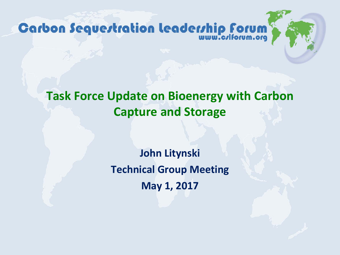**Carbon Sequertration Leaderrhip Forum** 

#### **Task Force Update on Bioenergy with Carbon Capture and Storage**

**John Litynski Technical Group Meeting May 1, 2017**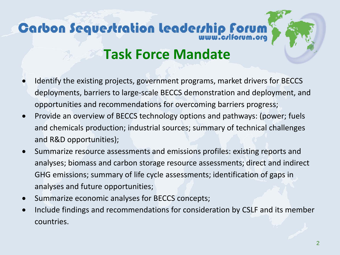# **Carbon Sequertration leaderrhip forum**

#### **Task Force Mandate**

- Identify the existing projects, government programs, market drivers for BECCS deployments, barriers to large-scale BECCS demonstration and deployment, and opportunities and recommendations for overcoming barriers progress;
- Provide an overview of BECCS technology options and pathways: (power; fuels and chemicals production; industrial sources; summary of technical challenges and R&D opportunities);
- Summarize resource assessments and emissions profiles: existing reports and analyses; biomass and carbon storage resource assessments; direct and indirect GHG emissions; summary of life cycle assessments; identification of gaps in analyses and future opportunities;
- Summarize economic analyses for BECCS concepts;
- Include findings and recommendations for consideration by CSLF and its member countries.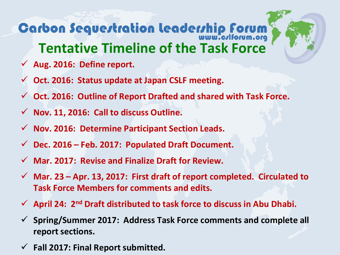#### **Carbon Sequertration leadership forum Tentative Timeline of the Task Force**

- **Aug. 2016: Define report.**
- **Oct. 2016: Status update at Japan CSLF meeting.**
- **Oct. 2016: Outline of Report Drafted and shared with Task Force.**
- **Nov. 11, 2016: Call to discuss Outline.**
- **Nov. 2016: Determine Participant Section Leads.**
- **Dec. 2016 – Feb. 2017: Populated Draft Document.**
- **Mar. 2017: Revise and Finalize Draft for Review.**
- **Mar. 23 – Apr. 13, 2017: First draft of report completed. Circulated to Task Force Members for comments and edits.**
- **April 24: 2nd Draft distributed to task force to discuss in Abu Dhabi.**
- **Spring/Summer 2017: Address Task Force comments and complete all report sections.**
- **Fall 2017: Final Report submitted.**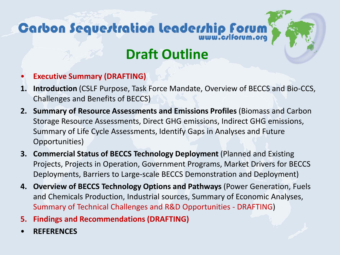## Carbon Sequertration leaderrhip Forum

#### **Draft Outline**

- **Executive Summary (DRAFTING)**
- **1. Introduction** (CSLF Purpose, Task Force Mandate, Overview of BECCS and Bio-CCS, Challenges and Benefits of BECCS)
- **2. Summary of Resource Assessments and Emissions Profiles** (Biomass and Carbon Storage Resource Assessments, Direct GHG emissions, Indirect GHG emissions, Summary of Life Cycle Assessments, Identify Gaps in Analyses and Future Opportunities)
- **3. Commercial Status of BECCS Technology Deployment** (Planned and Existing Projects, Projects in Operation, Government Programs, Market Drivers for BECCS Deployments, Barriers to Large-scale BECCS Demonstration and Deployment)
- **4. Overview of BECCS Technology Options and Pathways** (Power Generation, Fuels and Chemicals Production, Industrial sources, Summary of Economic Analyses, Summary of Technical Challenges and R&D Opportunities - DRAFTING)
- **5. Findings and Recommendations (DRAFTING)**
- **REFERENCES**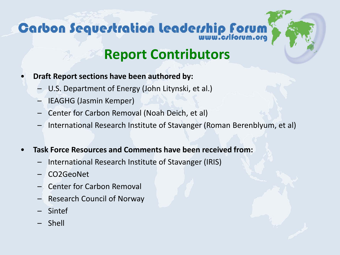## **Carbon Sequertration leaderrhip forum**



#### **Report Contributors**

- **Draft Report sections have been authored by:**
	- U.S. Department of Energy (John Litynski, et al.)
	- IEAGHG (Jasmin Kemper)
	- Center for Carbon Removal (Noah Deich, et al)
	- International Research Institute of Stavanger (Roman Berenblyum, et al)
- **Task Force Resources and Comments have been received from:**
	- International Research Institute of Stavanger (IRIS)
	- CO2GeoNet
	- Center for Carbon Removal
	- Research Council of Norway
	- **Sintef**
	- Shell